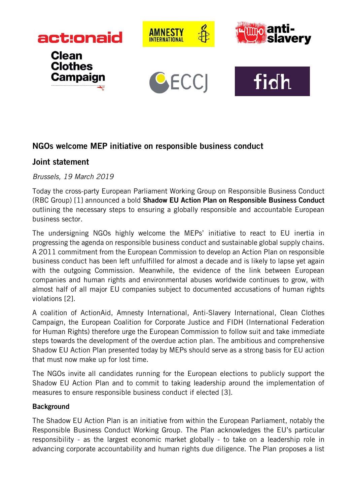

## NGOs welcome MEP initiative on responsible business conduct

## Joint statement

*Brussels, 19 March 2019*

Today the cross-party European Parliament Working Group on Responsible Business Conduct (RBC Group) [1] announced a bold Shadow EU Action Plan on Responsible Business Conduct outlining the necessary steps to ensuring a globally responsible and accountable European business sector.

The undersigning NGOs highly welcome the MEPs' initiative to react to EU inertia in progressing the agenda on responsible business conduct and sustainable global supply chains. A 2011 commitment from the European Commission to develop an Action Plan on responsible business conduct has been left unfulfilled for almost a decade and is likely to lapse yet again with the outgoing Commission. Meanwhile, the evidence of the link between European companies and human rights and environmental abuses worldwide continues to grow, with almost half of all major EU companies subject to documented accusations of human rights violations [2].

A coalition of ActionAid, Amnesty International, Anti-Slavery International, Clean Clothes Campaign, the European Coalition for Corporate Justice and FIDH (International Federation for Human Rights) therefore urge the European Commission to follow suit and take immediate steps towards the development of the overdue action plan. The ambitious and comprehensive Shadow EU Action Plan presented today by MEPs should serve as a strong basis for EU action that must now make up for lost time.

The NGOs invite all candidates running for the European elections to publicly support the Shadow EU Action Plan and to commit to taking leadership around the implementation of measures to ensure responsible business conduct if elected [3].

## **Background**

The Shadow EU Action Plan is an initiative from within the European Parliament, notably the Responsible Business Conduct Working Group. The Plan acknowledges the EU's particular responsibility - as the largest economic market globally - to take on a leadership role in advancing corporate accountability and human rights due diligence. The Plan proposes a list